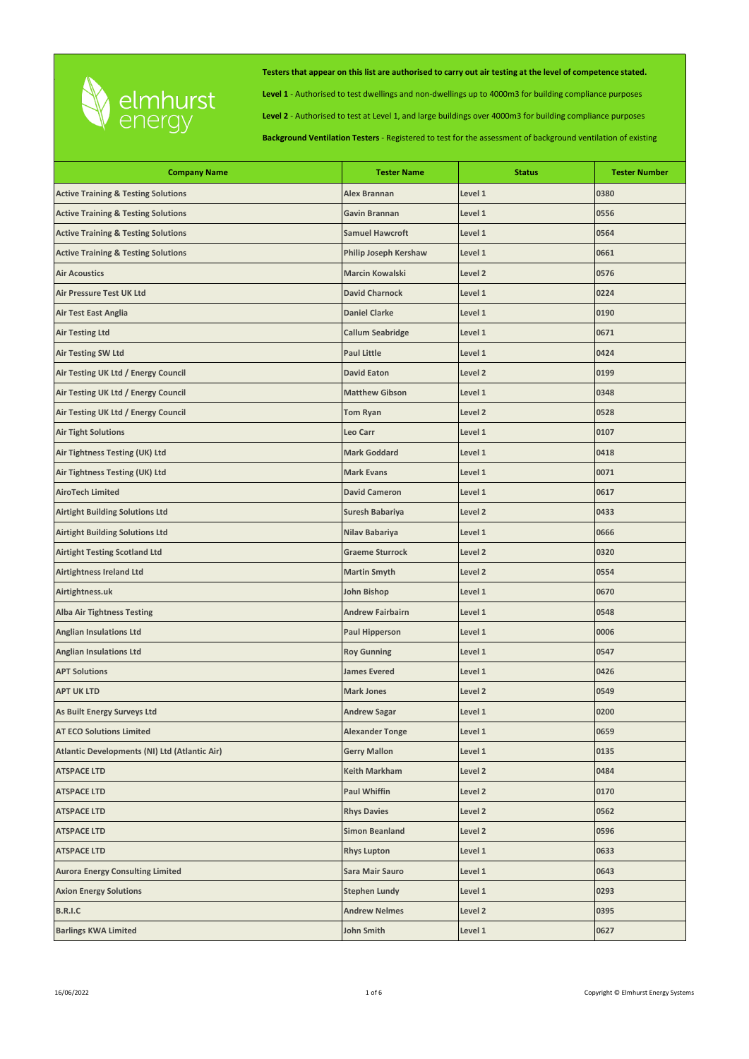

**Level 1** - Authorised to test dwellings and non-dwellings up to 4000m3 for building compliance purposes

**Level 2** - Authorised to test at Level 1, and large buildings over 4000m3 for building compliance purposes

| <b>Company Name</b>                            | <b>Tester Name</b>           | <b>Status</b>      | <b>Tester Number</b> |
|------------------------------------------------|------------------------------|--------------------|----------------------|
| <b>Active Training &amp; Testing Solutions</b> | <b>Alex Brannan</b>          | Level 1            | 0380                 |
| <b>Active Training &amp; Testing Solutions</b> | Gavin Brannan                | Level 1            | 0556                 |
| <b>Active Training &amp; Testing Solutions</b> | <b>Samuel Hawcroft</b>       | Level 1            | 0564                 |
| <b>Active Training &amp; Testing Solutions</b> | <b>Philip Joseph Kershaw</b> | Level 1            | 0661                 |
| <b>Air Acoustics</b>                           | <b>Marcin Kowalski</b>       | Level 2            | 0576                 |
| Air Pressure Test UK Ltd                       | <b>David Charnock</b>        | Level 1            | 0224                 |
| <b>Air Test East Anglia</b>                    | <b>Daniel Clarke</b>         | Level 1            | 0190                 |
| <b>Air Testing Ltd</b>                         | <b>Callum Seabridge</b>      | Level 1            | 0671                 |
| <b>Air Testing SW Ltd</b>                      | <b>Paul Little</b>           | Level 1            | 0424                 |
| Air Testing UK Ltd / Energy Council            | <b>David Eaton</b>           | Level <sub>2</sub> | 0199                 |
| Air Testing UK Ltd / Energy Council            | <b>Matthew Gibson</b>        | Level 1            | 0348                 |
| Air Testing UK Ltd / Energy Council            | <b>Tom Ryan</b>              | Level 2            | 0528                 |
| <b>Air Tight Solutions</b>                     | Leo Carr                     | Level 1            | 0107                 |
| Air Tightness Testing (UK) Ltd                 | <b>Mark Goddard</b>          | Level 1            | 0418                 |
| Air Tightness Testing (UK) Ltd                 | <b>Mark Evans</b>            | Level 1            | 0071                 |
| <b>AiroTech Limited</b>                        | <b>David Cameron</b>         | Level 1            | 0617                 |
| <b>Airtight Building Solutions Ltd</b>         | Suresh Babariya              | Level 2            | 0433                 |
| <b>Airtight Building Solutions Ltd</b>         | Nilav Babariya               | Level 1            | 0666                 |
| <b>Airtight Testing Scotland Ltd</b>           | <b>Graeme Sturrock</b>       | Level 2            | 0320                 |
| Airtightness Ireland Ltd                       | <b>Martin Smyth</b>          | Level 2            | 0554                 |
| Airtightness.uk                                | <b>John Bishop</b>           | Level 1            | 0670                 |
| <b>Alba Air Tightness Testing</b>              | <b>Andrew Fairbairn</b>      | Level 1            | 0548                 |
| <b>Anglian Insulations Ltd</b>                 | <b>Paul Hipperson</b>        | Level 1            | 0006                 |
| <b>Anglian Insulations Ltd</b>                 | <b>Roy Gunning</b>           | Level 1            | 0547                 |
| <b>APT Solutions</b>                           | <b>James Evered</b>          | Level 1            | 0426                 |
| <b>APT UK LTD</b>                              | <b>Mark Jones</b>            | Level 2            | 0549                 |
| As Built Energy Surveys Ltd                    | <b>Andrew Sagar</b>          | Level 1            | 0200                 |
| <b>AT ECO Solutions Limited</b>                | <b>Alexander Tonge</b>       | Level 1            | 0659                 |
| Atlantic Developments (NI) Ltd (Atlantic Air)  | <b>Gerry Mallon</b>          | Level 1            | 0135                 |
| <b>ATSPACE LTD</b>                             | Keith Markham                | Level 2            | 0484                 |
| <b>ATSPACE LTD</b>                             | <b>Paul Whiffin</b>          | Level 2            | 0170                 |
| <b>ATSPACE LTD</b>                             | <b>Rhys Davies</b>           | Level 2            | 0562                 |
| <b>ATSPACE LTD</b>                             | <b>Simon Beanland</b>        | Level 2            | 0596                 |
| <b>ATSPACE LTD</b>                             | <b>Rhys Lupton</b>           | Level 1            | 0633                 |
| <b>Aurora Energy Consulting Limited</b>        | Sara Mair Sauro              | Level 1            | 0643                 |
| <b>Axion Energy Solutions</b>                  | <b>Stephen Lundy</b>         | Level 1            | 0293                 |
| <b>B.R.I.C</b>                                 | <b>Andrew Nelmes</b>         | Level 2            | 0395                 |
| <b>Barlings KWA Limited</b>                    | <b>John Smith</b>            | Level 1            | 0627                 |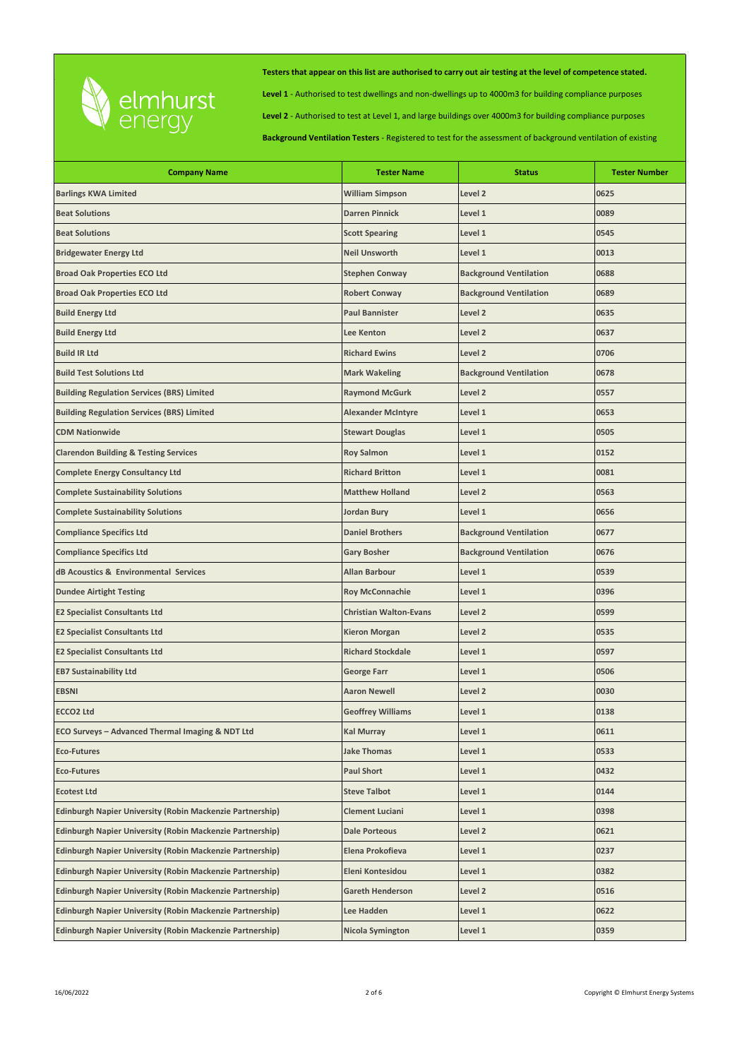

**Level 1** - Authorised to test dwellings and non-dwellings up to 4000m3 for building compliance purposes

**Level 2** - Authorised to test at Level 1, and large buildings over 4000m3 for building compliance purposes

| <b>Company Name</b>                                              | <b>Tester Name</b>            | <b>Status</b>                 | <b>Tester Number</b> |
|------------------------------------------------------------------|-------------------------------|-------------------------------|----------------------|
| <b>Barlings KWA Limited</b>                                      | <b>William Simpson</b>        | Level 2                       | 0625                 |
| <b>Beat Solutions</b>                                            | <b>Darren Pinnick</b>         | Level 1                       | 0089                 |
| <b>Beat Solutions</b>                                            | <b>Scott Spearing</b>         | Level 1                       | 0545                 |
| <b>Bridgewater Energy Ltd</b>                                    | <b>Neil Unsworth</b>          | Level 1                       | 0013                 |
| <b>Broad Oak Properties ECO Ltd</b>                              | <b>Stephen Conway</b>         | <b>Background Ventilation</b> | 0688                 |
| <b>Broad Oak Properties ECO Ltd</b>                              | <b>Robert Conway</b>          | <b>Background Ventilation</b> | 0689                 |
| <b>Build Energy Ltd</b>                                          | <b>Paul Bannister</b>         | Level 2                       | 0635                 |
| <b>Build Energy Ltd</b>                                          | <b>Lee Kenton</b>             | Level 2                       | 0637                 |
| <b>Build IR Ltd</b>                                              | <b>Richard Ewins</b>          | Level 2                       | 0706                 |
| <b>Build Test Solutions Ltd</b>                                  | <b>Mark Wakeling</b>          | <b>Background Ventilation</b> | 0678                 |
| <b>Building Regulation Services (BRS) Limited</b>                | <b>Raymond McGurk</b>         | Level 2                       | 0557                 |
| <b>Building Regulation Services (BRS) Limited</b>                | <b>Alexander McIntyre</b>     | Level 1                       | 0653                 |
| <b>CDM Nationwide</b>                                            | <b>Stewart Douglas</b>        | Level 1                       | 0505                 |
| <b>Clarendon Building &amp; Testing Services</b>                 | <b>Roy Salmon</b>             | Level 1                       | 0152                 |
| <b>Complete Energy Consultancy Ltd</b>                           | <b>Richard Britton</b>        | Level 1                       | 0081                 |
| <b>Complete Sustainability Solutions</b>                         | <b>Matthew Holland</b>        | Level 2                       | 0563                 |
| <b>Complete Sustainability Solutions</b>                         | Jordan Bury                   | Level 1                       | 0656                 |
| <b>Compliance Specifics Ltd</b>                                  | <b>Daniel Brothers</b>        | <b>Background Ventilation</b> | 0677                 |
| <b>Compliance Specifics Ltd</b>                                  | <b>Gary Bosher</b>            | <b>Background Ventilation</b> | 0676                 |
| dB Acoustics & Environmental Services                            | <b>Allan Barbour</b>          | Level 1                       | 0539                 |
| <b>Dundee Airtight Testing</b>                                   | <b>Roy McConnachie</b>        | Level 1                       | 0396                 |
| <b>E2 Specialist Consultants Ltd</b>                             | <b>Christian Walton-Evans</b> | Level 2                       | 0599                 |
| <b>E2 Specialist Consultants Ltd</b>                             | <b>Kieron Morgan</b>          | Level 2                       | 0535                 |
| <b>E2 Specialist Consultants Ltd</b>                             | <b>Richard Stockdale</b>      | Level 1                       | 0597                 |
| <b>EB7 Sustainability Ltd</b>                                    | <b>George Farr</b>            | Level 1                       | 0506                 |
| EBSNI                                                            | <b>Aaron Newell</b>           | Level <sub>2</sub>            | 0030                 |
| <b>ECCO2 Ltd</b>                                                 | <b>Geoffrey Williams</b>      | Level 1                       | 0138                 |
| ECO Surveys - Advanced Thermal Imaging & NDT Ltd                 | <b>Kal Murray</b>             | Level 1                       | 0611                 |
| <b>Eco-Futures</b>                                               | <b>Jake Thomas</b>            | Level 1                       | 0533                 |
| <b>Eco-Futures</b>                                               | <b>Paul Short</b>             | Level 1                       | 0432                 |
| <b>Ecotest Ltd</b>                                               | <b>Steve Talbot</b>           | Level 1                       | 0144                 |
| <b>Edinburgh Napier University (Robin Mackenzie Partnership)</b> | <b>Clement Luciani</b>        | Level 1                       | 0398                 |
| Edinburgh Napier University (Robin Mackenzie Partnership)        | <b>Dale Porteous</b>          | Level 2                       | 0621                 |
| Edinburgh Napier University (Robin Mackenzie Partnership)        | Elena Prokofieva              | Level 1                       | 0237                 |
| Edinburgh Napier University (Robin Mackenzie Partnership)        | Eleni Kontesidou              | Level 1                       | 0382                 |
| Edinburgh Napier University (Robin Mackenzie Partnership)        | <b>Gareth Henderson</b>       | Level 2                       | 0516                 |
| <b>Edinburgh Napier University (Robin Mackenzie Partnership)</b> | Lee Hadden                    | Level 1                       | 0622                 |
| <b>Edinburgh Napier University (Robin Mackenzie Partnership)</b> | <b>Nicola Symington</b>       | Level 1                       | 0359                 |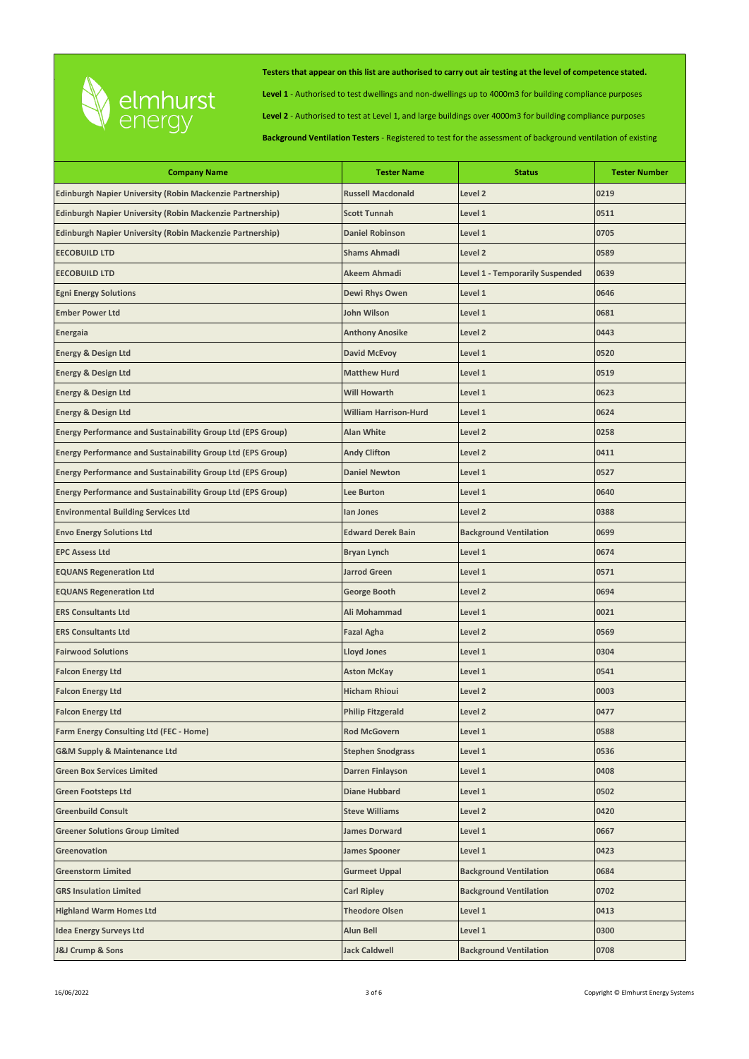

**Level 1** - Authorised to test dwellings and non-dwellings up to 4000m3 for building compliance purposes

**Level 2** - Authorised to test at Level 1, and large buildings over 4000m3 for building compliance purposes

| <b>Company Name</b>                                                | <b>Tester Name</b>           | <b>Status</b>                          | <b>Tester Number</b> |
|--------------------------------------------------------------------|------------------------------|----------------------------------------|----------------------|
| Edinburgh Napier University (Robin Mackenzie Partnership)          | <b>Russell Macdonald</b>     | Level 2                                | 0219                 |
| Edinburgh Napier University (Robin Mackenzie Partnership)          | <b>Scott Tunnah</b>          | Level 1                                | 0511                 |
| Edinburgh Napier University (Robin Mackenzie Partnership)          | <b>Daniel Robinson</b>       | Level 1                                | 0705                 |
| <b>EECOBUILD LTD</b>                                               | <b>Shams Ahmadi</b>          | Level <sub>2</sub>                     | 0589                 |
| <b>EECOBUILD LTD</b>                                               | Akeem Ahmadi                 | <b>Level 1 - Temporarily Suspended</b> | 0639                 |
| <b>Egni Energy Solutions</b>                                       | Dewi Rhys Owen               | Level 1                                | 0646                 |
| <b>Ember Power Ltd</b>                                             | John Wilson                  | Level 1                                | 0681                 |
| Energaia                                                           | <b>Anthony Anosike</b>       | Level <sub>2</sub>                     | 0443                 |
| <b>Energy &amp; Design Ltd</b>                                     | <b>David McEvoy</b>          | Level 1                                | 0520                 |
| <b>Energy &amp; Design Ltd</b>                                     | <b>Matthew Hurd</b>          | Level 1                                | 0519                 |
| <b>Energy &amp; Design Ltd</b>                                     | <b>Will Howarth</b>          | Level 1                                | 0623                 |
| <b>Energy &amp; Design Ltd</b>                                     | <b>William Harrison-Hurd</b> | Level 1                                | 0624                 |
| <b>Energy Performance and Sustainability Group Ltd (EPS Group)</b> | <b>Alan White</b>            | Level 2                                | 0258                 |
| Energy Performance and Sustainability Group Ltd (EPS Group)        | <b>Andy Clifton</b>          | Level 2                                | 0411                 |
| <b>Energy Performance and Sustainability Group Ltd (EPS Group)</b> | <b>Daniel Newton</b>         | Level 1                                | 0527                 |
| Energy Performance and Sustainability Group Ltd (EPS Group)        | Lee Burton                   | Level 1                                | 0640                 |
| <b>Environmental Building Services Ltd</b>                         | lan Jones                    | Level 2                                | 0388                 |
| <b>Envo Energy Solutions Ltd</b>                                   | <b>Edward Derek Bain</b>     | <b>Background Ventilation</b>          | 0699                 |
| <b>EPC Assess Ltd</b>                                              | <b>Bryan Lynch</b>           | Level 1                                | 0674                 |
| <b>EQUANS Regeneration Ltd</b>                                     | <b>Jarrod Green</b>          | Level 1                                | 0571                 |
| <b>EQUANS Regeneration Ltd</b>                                     | George Booth                 | Level 2                                | 0694                 |
| <b>ERS Consultants Ltd</b>                                         | Ali Mohammad                 | Level 1                                | 0021                 |
| <b>ERS Consultants Ltd</b>                                         | <b>Fazal Agha</b>            | Level 2                                | 0569                 |
| <b>Fairwood Solutions</b>                                          | <b>Lloyd Jones</b>           | Level 1                                | 0304                 |
| <b>Falcon Energy Ltd</b>                                           | <b>Aston McKay</b>           | Level 1                                | 0541                 |
| <b>Falcon Energy Ltd</b>                                           | <b>Hicham Rhioui</b>         | Level 2                                | 0003                 |
| <b>Falcon Energy Ltd</b>                                           | <b>Philip Fitzgerald</b>     | Level 2                                | 0477                 |
| Farm Energy Consulting Ltd (FEC - Home)                            | <b>Rod McGovern</b>          | Level 1                                | 0588                 |
| <b>G&amp;M Supply &amp; Maintenance Ltd</b>                        | <b>Stephen Snodgrass</b>     | Level 1                                | 0536                 |
| <b>Green Box Services Limited</b>                                  | Darren Finlayson             | Level 1                                | 0408                 |
| <b>Green Footsteps Ltd</b>                                         | <b>Diane Hubbard</b>         | Level 1                                | 0502                 |
| <b>Greenbuild Consult</b>                                          | <b>Steve Williams</b>        | Level 2                                | 0420                 |
| <b>Greener Solutions Group Limited</b>                             | James Dorward                | Level 1                                | 0667                 |
| Greenovation                                                       | <b>James Spooner</b>         | Level 1                                | 0423                 |
| <b>Greenstorm Limited</b>                                          | <b>Gurmeet Uppal</b>         | <b>Background Ventilation</b>          | 0684                 |
| <b>GRS Insulation Limited</b>                                      | Carl Ripley                  | <b>Background Ventilation</b>          | 0702                 |
| <b>Highland Warm Homes Ltd</b>                                     | <b>Theodore Olsen</b>        | Level 1                                | 0413                 |
| <b>Idea Energy Surveys Ltd</b>                                     | Alun Bell                    | Level 1                                | 0300                 |
| <b>J&amp;J Crump &amp; Sons</b>                                    | <b>Jack Caldwell</b>         | <b>Background Ventilation</b>          | 0708                 |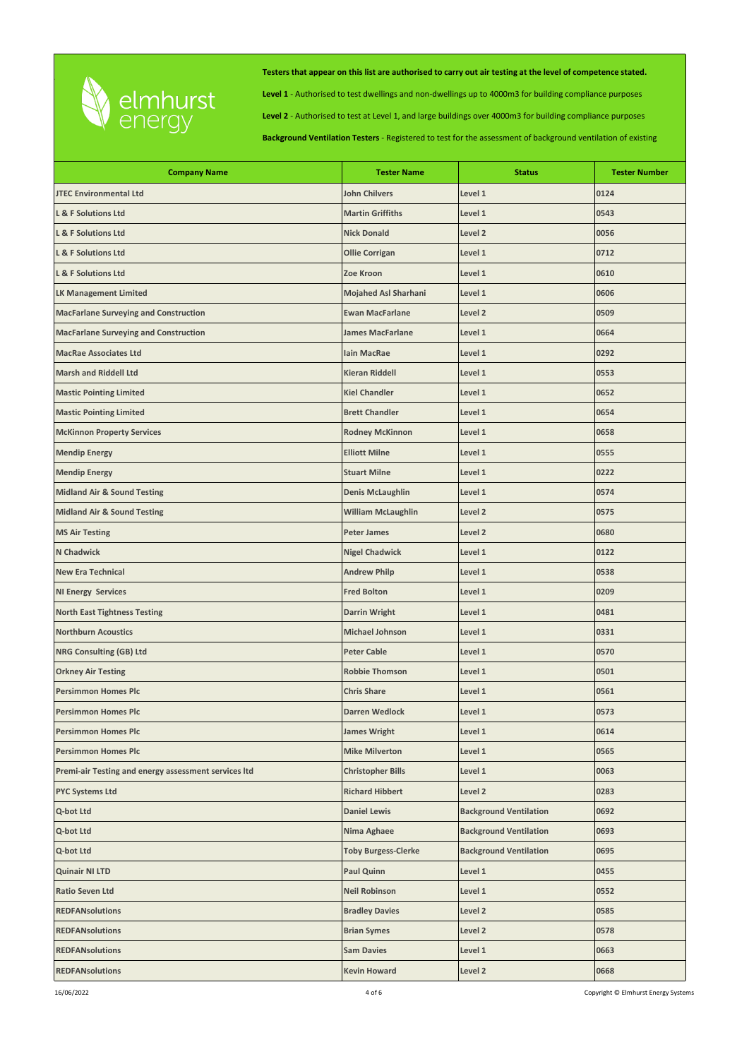

**Level 1** - Authorised to test dwellings and non-dwellings up to 4000m3 for building compliance purposes

**Level 2** - Authorised to test at Level 1, and large buildings over 4000m3 for building compliance purposes

| <b>Company Name</b>                                  | <b>Tester Name</b>          | <b>Status</b>                 | <b>Tester Number</b> |
|------------------------------------------------------|-----------------------------|-------------------------------|----------------------|
| <b>JTEC Environmental Ltd</b>                        | <b>John Chilvers</b>        | Level 1                       | 0124                 |
| <b>L &amp; F Solutions Ltd</b>                       | <b>Martin Griffiths</b>     | Level 1                       | 0543                 |
| L & F Solutions Ltd                                  | <b>Nick Donald</b>          | Level <sub>2</sub>            | 0056                 |
| <b>L &amp; F Solutions Ltd</b>                       | <b>Ollie Corrigan</b>       | Level 1                       | 0712                 |
| L & F Solutions Ltd                                  | Zoe Kroon                   | Level 1                       | 0610                 |
| <b>LK Management Limited</b>                         | <b>Mojahed Asl Sharhani</b> | Level 1                       | 0606                 |
| <b>MacFarlane Surveying and Construction</b>         | <b>Ewan MacFarlane</b>      | Level <sub>2</sub>            | 0509                 |
| <b>MacFarlane Surveying and Construction</b>         | <b>James MacFarlane</b>     | Level 1                       | 0664                 |
| <b>MacRae Associates Ltd</b>                         | <b>lain MacRae</b>          | Level 1                       | 0292                 |
| <b>Marsh and Riddell Ltd</b>                         | <b>Kieran Riddell</b>       | Level 1                       | 0553                 |
| <b>Mastic Pointing Limited</b>                       | <b>Kiel Chandler</b>        | Level 1                       | 0652                 |
| <b>Mastic Pointing Limited</b>                       | <b>Brett Chandler</b>       | Level 1                       | 0654                 |
| <b>McKinnon Property Services</b>                    | <b>Rodney McKinnon</b>      | Level 1                       | 0658                 |
| <b>Mendip Energy</b>                                 | <b>Elliott Milne</b>        | Level 1                       | 0555                 |
| <b>Mendip Energy</b>                                 | <b>Stuart Milne</b>         | Level 1                       | 0222                 |
| <b>Midland Air &amp; Sound Testing</b>               | <b>Denis McLaughlin</b>     | Level 1                       | 0574                 |
| <b>Midland Air &amp; Sound Testing</b>               | <b>William McLaughlin</b>   | Level 2                       | 0575                 |
| <b>MS Air Testing</b>                                | <b>Peter James</b>          | Level 2                       | 0680                 |
| N Chadwick                                           | <b>Nigel Chadwick</b>       | Level 1                       | 0122                 |
| <b>New Era Technical</b>                             | <b>Andrew Philp</b>         | Level 1                       | 0538                 |
| <b>NI Energy Services</b>                            | <b>Fred Bolton</b>          | Level 1                       | 0209                 |
| <b>North East Tightness Testing</b>                  | <b>Darrin Wright</b>        | Level 1                       | 0481                 |
| <b>Northburn Acoustics</b>                           | <b>Michael Johnson</b>      | Level 1                       | 0331                 |
| <b>NRG Consulting (GB) Ltd</b>                       | <b>Peter Cable</b>          | Level 1                       | 0570                 |
| <b>Orkney Air Testing</b>                            | <b>Robbie Thomson</b>       | Level 1                       | 0501                 |
| <b>Persimmon Homes Plc</b>                           | <b>Chris Share</b>          | Level 1                       | 0561                 |
| <b>Persimmon Homes Plc</b>                           | <b>Darren Wedlock</b>       | Level 1                       | 0573                 |
| <b>Persimmon Homes Plc</b>                           | <b>James Wright</b>         | Level 1                       | 0614                 |
| <b>Persimmon Homes Plc</b>                           | <b>Mike Milverton</b>       | Level 1                       | 0565                 |
| Premi-air Testing and energy assessment services ltd | <b>Christopher Bills</b>    | Level 1                       | 0063                 |
| <b>PYC Systems Ltd</b>                               | <b>Richard Hibbert</b>      | Level 2                       | 0283                 |
| Q-bot Ltd                                            | <b>Daniel Lewis</b>         | <b>Background Ventilation</b> | 0692                 |
| Q-bot Ltd                                            | Nima Aghaee                 | <b>Background Ventilation</b> | 0693                 |
| Q-bot Ltd                                            | <b>Toby Burgess-Clerke</b>  | <b>Background Ventilation</b> | 0695                 |
| Quinair NI LTD                                       | Paul Quinn                  | Level 1                       | 0455                 |
| Ratio Seven Ltd                                      | <b>Neil Robinson</b>        | Level 1                       | 0552                 |
| <b>REDFANsolutions</b>                               | <b>Bradley Davies</b>       | Level 2                       | 0585                 |
| <b>REDFANsolutions</b>                               | <b>Brian Symes</b>          | Level 2                       | 0578                 |
| <b>REDFANsolutions</b>                               | <b>Sam Davies</b>           | Level 1                       | 0663                 |
| <b>REDFANsolutions</b>                               | <b>Kevin Howard</b>         | Level 2                       | 0668                 |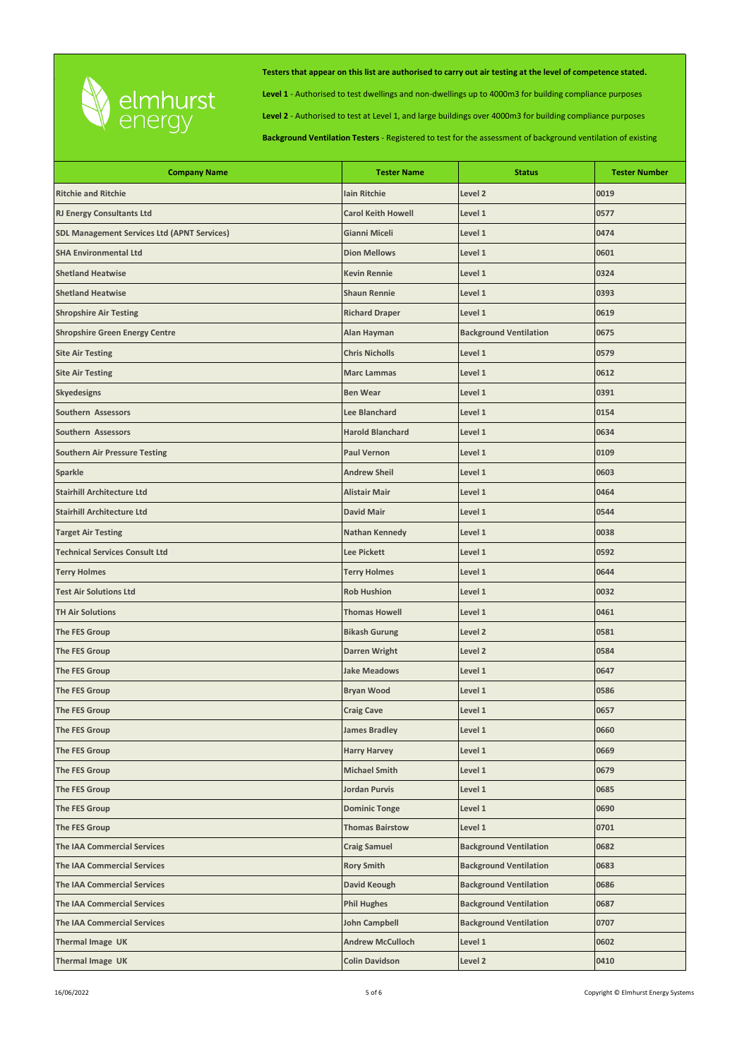

**Level 1** - Authorised to test dwellings and non-dwellings up to 4000m3 for building compliance purposes

**Level 2** - Authorised to test at Level 1, and large buildings over 4000m3 for building compliance purposes

| <b>Company Name</b>                                | <b>Tester Name</b>        | <b>Status</b>                 | <b>Tester Number</b> |
|----------------------------------------------------|---------------------------|-------------------------------|----------------------|
| <b>Ritchie and Ritchie</b>                         | <b>Iain Ritchie</b>       | Level 2                       | 0019                 |
| <b>RJ Energy Consultants Ltd</b>                   | <b>Carol Keith Howell</b> | Level 1                       | 0577                 |
| <b>SDL Management Services Ltd (APNT Services)</b> | Gianni Miceli             | Level 1                       | 0474                 |
| <b>SHA Environmental Ltd</b>                       | <b>Dion Mellows</b>       | Level 1                       | 0601                 |
| <b>Shetland Heatwise</b>                           | <b>Kevin Rennie</b>       | Level 1                       | 0324                 |
| <b>Shetland Heatwise</b>                           | <b>Shaun Rennie</b>       | Level 1                       | 0393                 |
| <b>Shropshire Air Testing</b>                      | <b>Richard Draper</b>     | Level 1                       | 0619                 |
| <b>Shropshire Green Energy Centre</b>              | Alan Hayman               | <b>Background Ventilation</b> | 0675                 |
| <b>Site Air Testing</b>                            | <b>Chris Nicholls</b>     | Level 1                       | 0579                 |
| <b>Site Air Testing</b>                            | <b>Marc Lammas</b>        | Level 1                       | 0612                 |
| <b>Skyedesigns</b>                                 | <b>Ben Wear</b>           | Level 1                       | 0391                 |
| Southern Assessors                                 | Lee Blanchard             | Level 1                       | 0154                 |
| Southern Assessors                                 | <b>Harold Blanchard</b>   | Level 1                       | 0634                 |
| <b>Southern Air Pressure Testing</b>               | <b>Paul Vernon</b>        | Level 1                       | 0109                 |
| <b>Sparkle</b>                                     | <b>Andrew Sheil</b>       | Level 1                       | 0603                 |
| <b>Stairhill Architecture Ltd</b>                  | <b>Alistair Mair</b>      | Level 1                       | 0464                 |
| <b>Stairhill Architecture Ltd</b>                  | <b>David Mair</b>         | Level 1                       | 0544                 |
| <b>Target Air Testing</b>                          | <b>Nathan Kennedy</b>     | Level 1                       | 0038                 |
| <b>Technical Services Consult Ltd</b>              | Lee Pickett               | Level 1                       | 0592                 |
| <b>Terry Holmes</b>                                | <b>Terry Holmes</b>       | Level 1                       | 0644                 |
| <b>Test Air Solutions Ltd</b>                      | <b>Rob Hushion</b>        | Level 1                       | 0032                 |
| <b>TH Air Solutions</b>                            | <b>Thomas Howell</b>      | Level 1                       | 0461                 |
| The FES Group                                      | <b>Bikash Gurung</b>      | Level <sub>2</sub>            | 0581                 |
| The FES Group                                      | <b>Darren Wright</b>      | Level 2                       | 0584                 |
| The FES Group                                      | <b>Jake Meadows</b>       | Level 1                       | 0647                 |
| <b>The FES Group</b>                               | <b>Bryan Wood</b>         | Level 1                       | 0586                 |
| The FES Group                                      | <b>Craig Cave</b>         | Level 1                       | 0657                 |
| The FES Group                                      | <b>James Bradley</b>      | Level 1                       | 0660                 |
| <b>The FES Group</b>                               | <b>Harry Harvey</b>       | Level 1                       | 0669                 |
| The FES Group                                      | <b>Michael Smith</b>      | Level 1                       | 0679                 |
| The FES Group                                      | Jordan Purvis             | Level 1                       | 0685                 |
| The FES Group                                      | <b>Dominic Tonge</b>      | Level 1                       | 0690                 |
| The FES Group                                      | <b>Thomas Bairstow</b>    | Level 1                       | 0701                 |
| <b>The IAA Commercial Services</b>                 | <b>Craig Samuel</b>       | <b>Background Ventilation</b> | 0682                 |
| <b>The IAA Commercial Services</b>                 | <b>Rory Smith</b>         | <b>Background Ventilation</b> | 0683                 |
| <b>The IAA Commercial Services</b>                 | David Keough              | <b>Background Ventilation</b> | 0686                 |
| <b>The IAA Commercial Services</b>                 | <b>Phil Hughes</b>        | <b>Background Ventilation</b> | 0687                 |
| <b>The IAA Commercial Services</b>                 | <b>John Campbell</b>      | <b>Background Ventilation</b> | 0707                 |
| Thermal Image UK                                   | <b>Andrew McCulloch</b>   | Level 1                       | 0602                 |
| Thermal Image UK                                   | <b>Colin Davidson</b>     | Level 2                       | 0410                 |